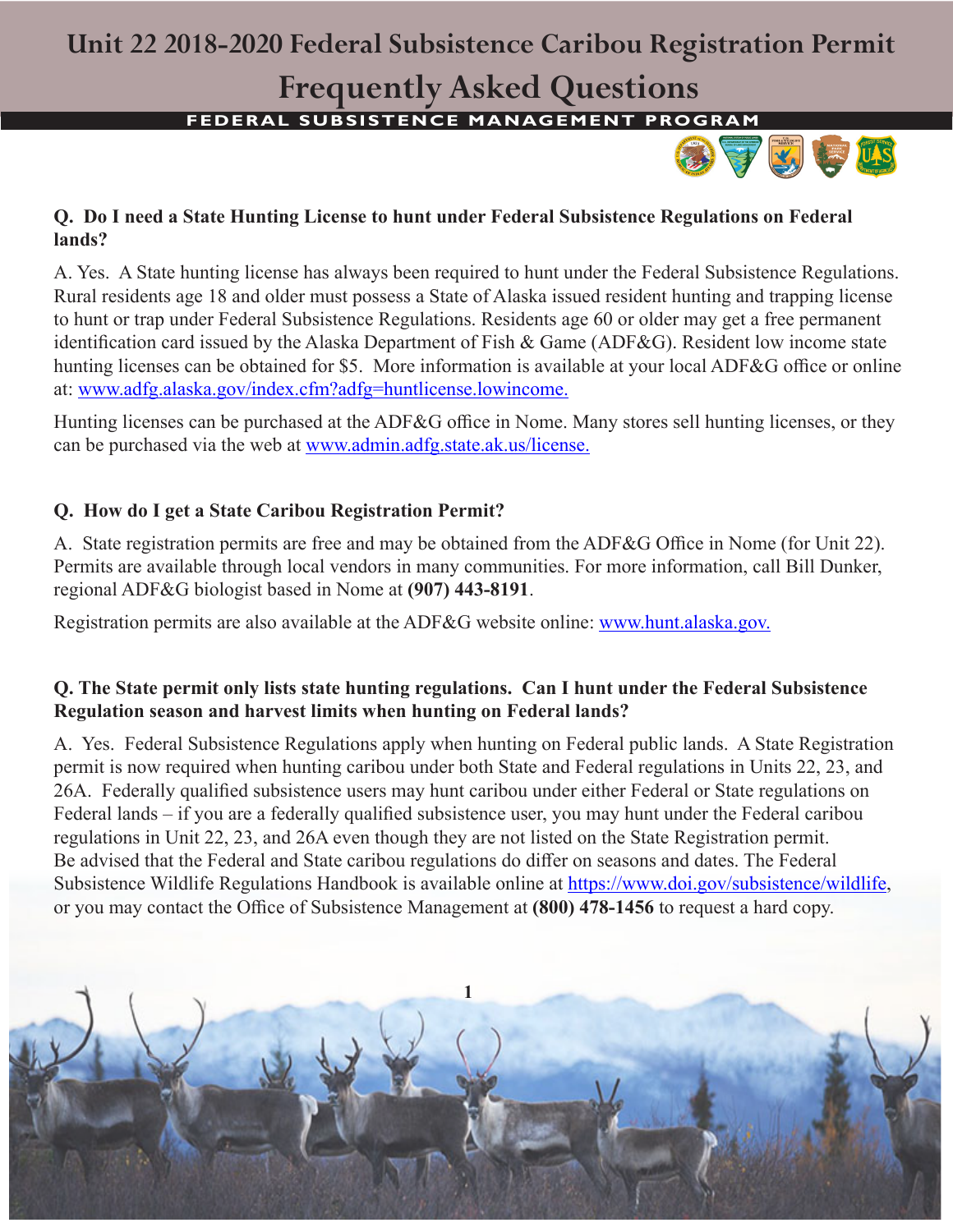### **Unit 22 2018-2020 Federal Subsistence Caribou Registration Permit**

## **Frequently Asked Questions**

**FEDERAL SUBSISTENCE MANAGEMENT PROGRAM** 



### **Q. Do I need a State Hunting License to hunt under Federal Subsistence Regulations on Federal lands?**

A. Yes. A State hunting license has always been required to hunt under the Federal Subsistence Regulations. Rural residents age 18 and older must possess a State of Alaska issued resident hunting and trapping license to hunt or trap under Federal Subsistence Regulations. Residents age 60 or older may get a free permanent identification card issued by the Alaska Department of Fish & Game (ADF&G). Resident low income state hunting licenses can be obtained for \$5. More information is available at your local ADF&G office or online at: www.adfg.alaska.gov/index.cfm?adfg=huntlicense.lowincome.

Hunting licenses can be purchased at the ADF&G office in Nome. Many stores sell hunting licenses, or they can be purchased via the web at www.admin.adfg.state.ak.us/license.

### **Q. How do I get a State Caribou Registration Permit?**

A. State registration permits are free and may be obtained from the ADF&G Office in Nome (for Unit 22). Permits are available through local vendors in many communities. For more information, call Bill Dunker, regional ADF&G biologist based in Nome at **(907) 443-8191**.

Registration permits are also available at the ADF&G website online: www.hunt.alaska.gov.

#### **Q. The State permit only lists state hunting regulations. Can I hunt under the Federal Subsistence Regulation season and harvest limits when hunting on Federal lands?**

A. Yes. Federal Subsistence Regulations apply when hunting on Federal public lands. A State Registration permit is now required when hunting caribou under both State and Federal regulations in Units 22, 23, and 26A. Federally qualified subsistence users may hunt caribou under either Federal or State regulations on Federal lands – if you are a federally qualified subsistence user, you may hunt under the Federal caribou regulations in Unit 22, 23, and 26A even though they are not listed on the State Registration permit. Be advised that the Federal and State caribou regulations do differ on seasons and dates. The Federal Subsistence Wildlife Regulations Handbook is available online at https://www.doi.gov/subsistence/wildlife, or you may contact the Office of Subsistence Management at **(800) 478-1456** to request a hard copy.